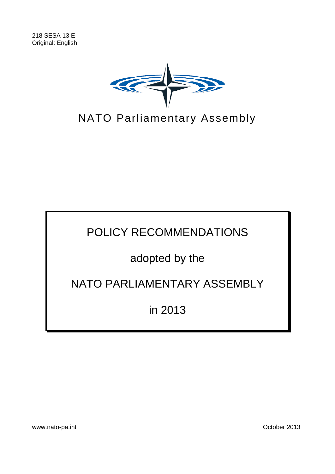

POLICY RECOMMENDATIONS

# adopted by the

## NATO PARLIAMENTARY ASSEMBLY

in 2013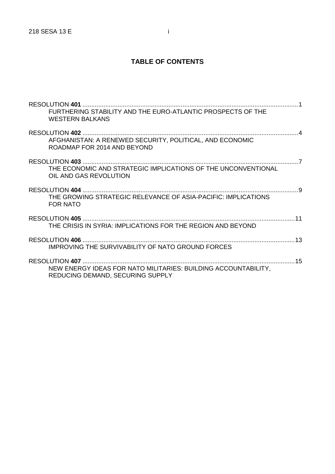## **TABLE OF CONTENTS**

| FURTHERING STABILITY AND THE EURO-ATLANTIC PROSPECTS OF THE<br><b>WESTERN BAI KANS</b>             |  |
|----------------------------------------------------------------------------------------------------|--|
| AFGHANISTAN: A RENEWED SECURITY, POLITICAL, AND ECONOMIC<br>ROADMAP FOR 2014 AND BEYOND            |  |
| THE ECONOMIC AND STRATEGIC IMPLICATIONS OF THE UNCONVENTIONAL<br>OIL AND GAS REVOLUTION            |  |
| THE GROWING STRATEGIC RELEVANCE OF ASIA-PACIFIC: IMPLICATIONS<br><b>FOR NATO</b>                   |  |
| THE CRISIS IN SYRIA: IMPLICATIONS FOR THE REGION AND BEYOND                                        |  |
| IMPROVING THE SURVIVABILITY OF NATO GROUND FORCES                                                  |  |
| NEW ENERGY IDEAS FOR NATO MILITARIES: BUILDING ACCOUNTABILITY,<br>REDUCING DEMAND, SECURING SUPPLY |  |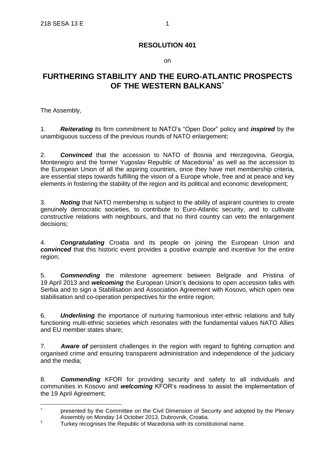on

## **FURTHERING STABILITY AND THE EURO-ATLANTIC PROSPECTS OF THE WESTERN BALKANS**

The Assembly,

1. *Reiterating* its firm commitment to NATO's "Open Door" policy and *inspired* by the unambiguous success of the previous rounds of NATO enlargement;

2. *Convinced* that the accession to NATO of Bosnia and Herzegovina, Georgia, Montenegro and the former Yugoslav Republic of Macedonia<sup>1</sup> as well as the accession to the European Union of all the aspiring countries, once they have met membership criteria, are essential steps towards fulfilling the vision of a Europe whole, free and at peace and key elements in fostering the stability of the region and its political and economic development;

3. *Noting* that NATO membership is subject to the ability of aspirant countries to create genuinely democratic societies, to contribute to Euro-Atlantic security, and to cultivate constructive relations with neighbours, and that no third country can veto the enlargement decisions;

4. *Congratulating* Croatia and its people on joining the European Union and *convinced* that this historic event provides a positive example and incentive for the entire region;

5. *Commending* the milestone agreement between Belgrade and Pristina of 19 April 2013 and *welcoming* the European Union's decisions to open accession talks with Serbia and to sign a Stabilisation and Association Agreement with Kosovo, which open new stabilisation and co-operation perspectives for the entire region;

6. *Underlining* the importance of nurturing harmonious inter-ethnic relations and fully functioning multi-ethnic societies which resonates with the fundamental values NATO Allies and EU member states share;

7. *Aware of* persistent challenges in the region with regard to fighting corruption and organised crime and ensuring transparent administration and independence of the judiciary and the media;

8. *Commending* KFOR for providing security and safety to all individuals and communities in Kosovo and *welcoming* KFOR's readiness to assist the implementation of the 19 April Agreement;

 $\overline{\phantom{a}}$ presented by the Committee on the Civil Dimension of Security and adopted by the Plenary Assembly on Monday 14 October 2013, Dubrovnik, Croatia.

<sup>1</sup> Turkey recognises the Republic of Macedonia with its constitutional name.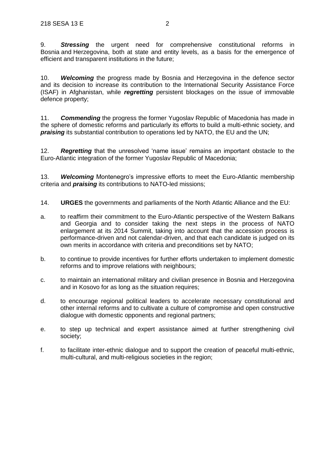9. *Stressing* the urgent need for comprehensive constitutional reforms in Bosnia and Herzegovina, both at state and entity levels, as a basis for the emergence of efficient and transparent institutions in the future;

10. *Welcoming* the progress made by Bosnia and Herzegovina in the defence sector and its decision to increase its contribution to the International Security Assistance Force (ISAF) in Afghanistan, while *regretting* persistent blockages on the issue of immovable defence property;

11. *Commending* the progress the former Yugoslav Republic of Macedonia has made in the sphere of domestic reforms and particularly its efforts to build a multi-ethnic society, and *praising* its substantial contribution to operations led by NATO, the EU and the UN;

12. *Regretting* that the unresolved 'name issue' remains an important obstacle to the Euro-Atlantic integration of the former Yugoslav Republic of Macedonia;

13. *Welcoming* Montenegro's impressive efforts to meet the Euro-Atlantic membership criteria and *praising* its contributions to NATO-led missions;

- 14. **URGES** the governments and parliaments of the North Atlantic Alliance and the EU:
- a. to reaffirm their commitment to the Euro-Atlantic perspective of the Western Balkans and Georgia and to consider taking the next steps in the process of NATO enlargement at its 2014 Summit, taking into account that the accession process is performance-driven and not calendar-driven, and that each candidate is judged on its own merits in accordance with criteria and preconditions set by NATO;
- b. to continue to provide incentives for further efforts undertaken to implement domestic reforms and to improve relations with neighbours;
- c. to maintain an international military and civilian presence in Bosnia and Herzegovina and in Kosovo for as long as the situation requires;
- d. to encourage regional political leaders to accelerate necessary constitutional and other internal reforms and to cultivate a culture of compromise and open constructive dialogue with domestic opponents and regional partners;
- e. to step up technical and expert assistance aimed at further strengthening civil society;
- f. to facilitate inter-ethnic dialogue and to support the creation of peaceful multi-ethnic, multi-cultural, and multi-religious societies in the region: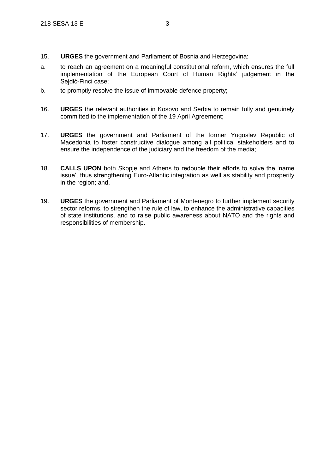- 15. **URGES** the government and Parliament of Bosnia and Herzegovina:
- a. to reach an agreement on a meaningful constitutional reform, which ensures the full implementation of the European Court of Human Rights' judgement in the Sejdić-Finci case;
- b. to promptly resolve the issue of immovable defence property;
- 16. **URGES** the relevant authorities in Kosovo and Serbia to remain fully and genuinely committed to the implementation of the 19 April Agreement;
- 17. **URGES** the government and Parliament of the former Yugoslav Republic of Macedonia to foster constructive dialogue among all political stakeholders and to ensure the independence of the judiciary and the freedom of the media;
- 18. **CALLS UPON** both Skopje and Athens to redouble their efforts to solve the 'name issue', thus strengthening Euro-Atlantic integration as well as stability and prosperity in the region; and,
- 19. **URGES** the government and Parliament of Montenegro to further implement security sector reforms, to strengthen the rule of law, to enhance the administrative capacities of state institutions, and to raise public awareness about NATO and the rights and responsibilities of membership.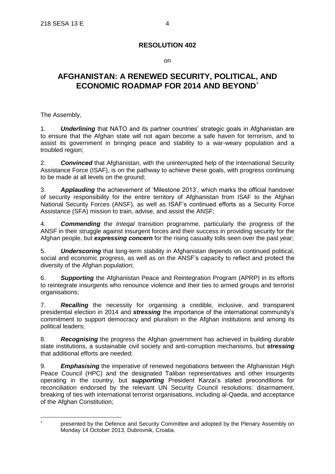on

## **AFGHANISTAN: A RENEWED SECURITY, POLITICAL, AND ECONOMIC ROADMAP FOR 2014 AND BEYOND**

The Assembly,

 $\overline{a}$ 

1. *Underlining* that NATO and its partner countries' strategic goals in Afghanistan are to ensure that the Afghan state will not again become a safe haven for terrorism, and to assist its government in bringing peace and stability to a war-weary population and a troubled region;

2. *Convinced* that Afghanistan, with the uninterrupted help of the International Security Assistance Force (ISAF), is on the pathway to achieve these goals, with progress continuing to be made at all levels on the ground;

3. *Applauding* the achievement of 'Milestone 2013', which marks the official handover of security responsibility for the entire territory of Afghanistan from ISAF to the Afghan National Security Forces (ANSF), as well as ISAF's continued efforts as a Security Force Assistance (SFA) mission to train, advise, and assist the ANSF;

4. *Commending* the *Inteqal* transition programme, particularly the progress of the ANSF in their struggle against insurgent forces and their success in providing security for the Afghan people, but *expressing concern* for the rising casualty tolls seen over the past year;

5. *Underscoring* that long-term stability in Afghanistan depends on continued political, social and economic progress, as well as on the ANSF's capacity to reflect and protect the diversity of the Afghan population;

6. *Supporting* the Afghanistan Peace and Reintegration Program (APRP) in its efforts to reintegrate insurgents who renounce violence and their ties to armed groups and terrorist organisations;

7. *Recalling* the necessity for organising a credible, inclusive, and transparent presidential election in 2014 and *stressing* the importance of the international community's commitment to support democracy and pluralism in the Afghan institutions and among its political leaders;

8. *Recognising* the progress the Afghan government has achieved in building durable state institutions, a sustainable civil society and anti-corruption mechanisms, but *stressing* that additional efforts are needed;

9. *Emphasising* the imperative of renewed negotiations between the Afghanistan High Peace Council (HPC) and the designated Taliban representatives and other insurgents operating in the country, but *supporting* President Karzai's stated preconditions for reconciliation endorsed by the relevant UN Security Council resolutions: disarmament, breaking of ties with international terrorist organisations, including al-Qaeda, and acceptance of the Afghan Constitution;

<sup>\*</sup> presented by the Defence and Security Committee and adopted by the Plenary Assembly on Monday 14 October 2013, Dubrovnik, Croatia.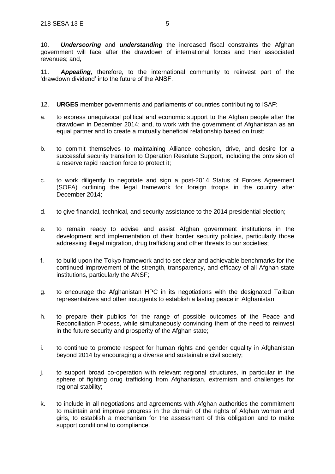10. *Underscoring* and *understanding* the increased fiscal constraints the Afghan government will face after the drawdown of international forces and their associated revenues; and,

11. *Appealing*, therefore, to the international community to reinvest part of the 'drawdown dividend' into the future of the ANSF.

- 12. **URGES** member governments and parliaments of countries contributing to ISAF:
- a. to express unequivocal political and economic support to the Afghan people after the drawdown in December 2014; and, to work with the government of Afghanistan as an equal partner and to create a mutually beneficial relationship based on trust;
- b. to commit themselves to maintaining Alliance cohesion, drive, and desire for a successful security transition to Operation Resolute Support, including the provision of a reserve rapid reaction force to protect it;
- c. to work diligently to negotiate and sign a post-2014 Status of Forces Agreement (SOFA) outlining the legal framework for foreign troops in the country after December 2014;
- d. to give financial, technical, and security assistance to the 2014 presidential election;
- e. to remain ready to advise and assist Afghan government institutions in the development and implementation of their border security policies, particularly those addressing illegal migration, drug trafficking and other threats to our societies;
- f. to build upon the Tokyo framework and to set clear and achievable benchmarks for the continued improvement of the strength, transparency, and efficacy of all Afghan state institutions, particularly the ANSF;
- g. to encourage the Afghanistan HPC in its negotiations with the designated Taliban representatives and other insurgents to establish a lasting peace in Afghanistan;
- h. to prepare their publics for the range of possible outcomes of the Peace and Reconciliation Process, while simultaneously convincing them of the need to reinvest in the future security and prosperity of the Afghan state;
- i. to continue to promote respect for human rights and gender equality in Afghanistan beyond 2014 by encouraging a diverse and sustainable civil society;
- j. to support broad co-operation with relevant regional structures, in particular in the sphere of fighting drug trafficking from Afghanistan, extremism and challenges for regional stability;
- k. to include in all negotiations and agreements with Afghan authorities the commitment to maintain and improve progress in the domain of the rights of Afghan women and girls, to establish a mechanism for the assessment of this obligation and to make support conditional to compliance.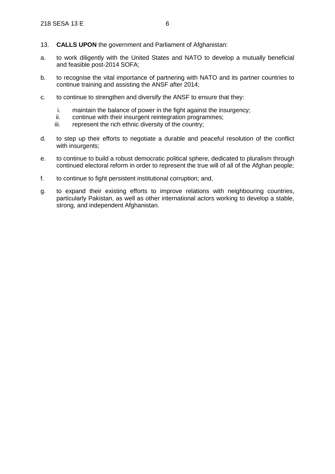- 13. **CALLS UPON** the government and Parliament of Afghanistan:
- a. to work diligently with the United States and NATO to develop a mutually beneficial and feasible post-2014 SOFA;
- b. to recognise the vital importance of partnering with NATO and its partner countries to continue training and assisting the ANSF after 2014;
- c. to continue to strengthen and diversify the ANSF to ensure that they:
	- i. maintain the balance of power in the fight against the insurgency;
	- ii. continue with their insurgent reintegration programmes;
	- iii. represent the rich ethnic diversity of the country;
- d. to step up their efforts to negotiate a durable and peaceful resolution of the conflict with insurgents:
- e. to continue to build a robust democratic political sphere, dedicated to pluralism through continued electoral reform in order to represent the true will of all of the Afghan people;
- f. to continue to fight persistent institutional corruption; and,
- g. to expand their existing efforts to improve relations with neighbouring countries, particularly Pakistan, as well as other international actors working to develop a stable, strong, and independent Afghanistan.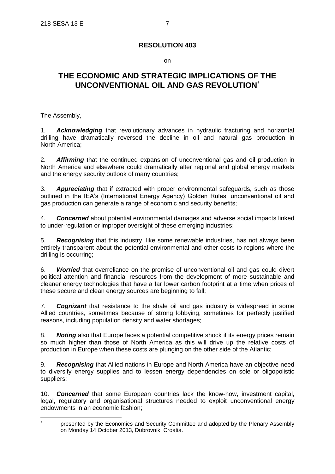on

## **THE ECONOMIC AND STRATEGIC IMPLICATIONS OF THE UNCONVENTIONAL OIL AND GAS REVOLUTION**

The Assembly,

 $\overline{a}$ 

1. *Acknowledging* that revolutionary advances in hydraulic fracturing and horizontal drilling have dramatically reversed the decline in oil and natural gas production in North America;

2. *Affirming* that the continued expansion of unconventional gas and oil production in North America and elsewhere could dramatically alter regional and global energy markets and the energy security outlook of many countries;

3. *Appreciating* that if extracted with proper environmental safeguards, such as those outlined in the IEA's (International Energy Agency) Golden Rules, unconventional oil and gas production can generate a range of economic and security benefits;

4. *Concerned* about potential environmental damages and adverse social impacts linked to under-regulation or improper oversight of these emerging industries;

5. *Recognising* that this industry, like some renewable industries, has not always been entirely transparent about the potential environmental and other costs to regions where the drilling is occurring;

6. *Worried* that overreliance on the promise of unconventional oil and gas could divert political attention and financial resources from the development of more sustainable and cleaner energy technologies that have a far lower carbon footprint at a time when prices of these secure and clean energy sources are beginning to fall;

7. *Cognizant* that resistance to the shale oil and gas industry is widespread in some Allied countries, sometimes because of strong lobbying, sometimes for perfectly justified reasons, including population density and water shortages;

8. *Noting* also that Europe faces a potential competitive shock if its energy prices remain so much higher than those of North America as this will drive up the relative costs of production in Europe when these costs are plunging on the other side of the Atlantic;

9. *Recognising* that Allied nations in Europe and North America have an objective need to diversify energy supplies and to lessen energy dependencies on sole or oligopolistic suppliers;

10. *Concerned* that some European countries lack the know-how, investment capital, legal, regulatory and organisational structures needed to exploit unconventional energy endowments in an economic fashion;

<sup>\*</sup> presented by the Economics and Security Committee and adopted by the Plenary Assembly on Monday 14 October 2013, Dubrovnik, Croatia.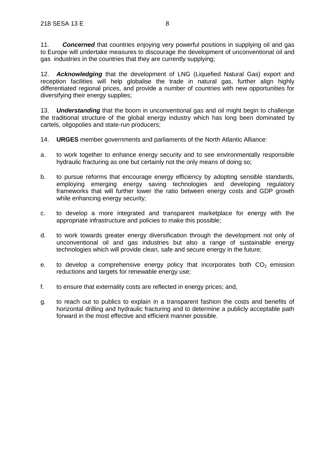11. *Concerned* that countries enjoying very powerful positions in supplying oil and gas to Europe will undertake measures to discourage the development of unconventional oil and gas industries in the countries that they are currently supplying;

**Acknowledging** that the development of LNG (Liquefied Natural Gas) export and reception facilities will help globalise the trade in natural gas, further align highly differentiated regional prices, and provide a number of countries with new opportunities for diversifying their energy supplies;

13. *Understanding* that the boom in unconventional gas and oil might begin to challenge the traditional structure of the global energy industry which has long been dominated by cartels, oligopolies and state-run producers;

- 14. **URGES** member governments and parliaments of the North Atlantic Alliance:
- a. to work together to enhance energy security and to see environmentally responsible hydraulic fracturing as one but certainly not the only means of doing so;
- b. to pursue reforms that encourage energy efficiency by adopting sensible standards, employing emerging energy saving technologies and developing regulatory frameworks that will further lower the ratio between energy costs and GDP growth while enhancing energy security;
- c. to develop a more integrated and transparent marketplace for energy with the appropriate infrastructure and policies to make this possible;
- d. to work towards greater energy diversification through the development not only of unconventional oil and gas industries but also a range of sustainable energy technologies which will provide clean, safe and secure energy in the future;
- e. to develop a comprehensive energy policy that incorporates both  $CO<sub>2</sub>$  emission reductions and targets for renewable energy use;
- f. to ensure that externality costs are reflected in energy prices; and,
- g. to reach out to publics to explain in a transparent fashion the costs and benefits of horizontal drilling and hydraulic fracturing and to determine a publicly acceptable path forward in the most effective and efficient manner possible.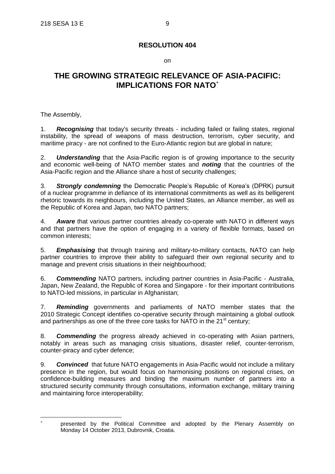on

## **THE GROWING STRATEGIC RELEVANCE OF ASIA-PACIFIC: IMPLICATIONS FOR NATO**

The Assembly,

1. *Recognising* that today's security threats - including failed or failing states, regional instability, the spread of weapons of mass destruction, terrorism, cyber security, and maritime piracy - are not confined to the Euro-Atlantic region but are global in nature;

2. *Understanding* that the Asia-Pacific region is of growing importance to the security and economic well-being of NATO member states and *noting* that the countries of the Asia-Pacific region and the Alliance share a host of security challenges;

3. *Strongly condemning* the Democratic People's Republic of Korea's (DPRK) pursuit of a nuclear programme in defiance of its international commitments as well as its belligerent rhetoric towards its neighbours, including the United States, an Alliance member, as well as the Republic of Korea and Japan, two NATO partners;

4. *Aware* that various partner countries already co-operate with NATO in different ways and that partners have the option of engaging in a variety of flexible formats, based on common interests;

5. *Emphasising* that through training and military-to-military contacts, NATO can help partner countries to improve their ability to safeguard their own regional security and to manage and prevent crisis situations in their neighbourhood;

6. *Commending* NATO partners, including partner countries in Asia-Pacific - Australia, Japan, New Zealand, the Republic of Korea and Singapore - for their important contributions to NATO-led missions, in particular in Afghanistan;

7. *Reminding* governments and parliaments of NATO member states that the 2010 Strategic Concept identifies co-operative security through maintaining a global outlook and partnerships as one of the three core tasks for NATO in the  $21<sup>st</sup>$  century;

8. *Commending* the progress already achieved in co-operating with Asian partners, notably in areas such as managing crisis situations, disaster relief, counter-terrorism, counter-piracy and cyber defence;

9. *Convinced* that future NATO engagements in Asia-Pacific would not include a military presence in the region, but would focus on harmonising positions on regional crises, on confidence-building measures and binding the maximum number of partners into a structured security community through consultations, information exchange, military training and maintaining force interoperability;

 $\overline{a}$ \*

presented by the Political Committee and adopted by the Plenary Assembly on Monday 14 October 2013, Dubrovnik, Croatia.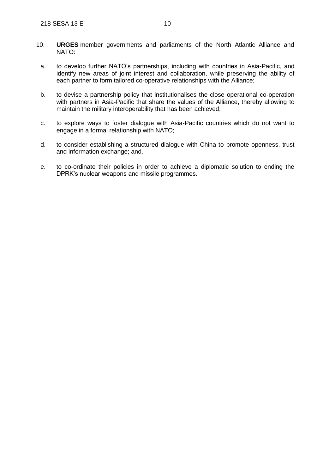- 10. **URGES** member governments and parliaments of the North Atlantic Alliance and NATO:
	- a. to develop further NATO's partnerships, including with countries in Asia-Pacific, and identify new areas of joint interest and collaboration, while preserving the ability of each partner to form tailored co-operative relationships with the Alliance;
	- b. to devise a partnership policy that institutionalises the close operational co-operation with partners in Asia-Pacific that share the values of the Alliance, thereby allowing to maintain the military interoperability that has been achieved;
	- c. to explore ways to foster dialogue with Asia-Pacific countries which do not want to engage in a formal relationship with NATO;
	- d. to consider establishing a structured dialogue with China to promote openness, trust and information exchange; and,
	- e. to co-ordinate their policies in order to achieve a diplomatic solution to ending the DPRK's nuclear weapons and missile programmes.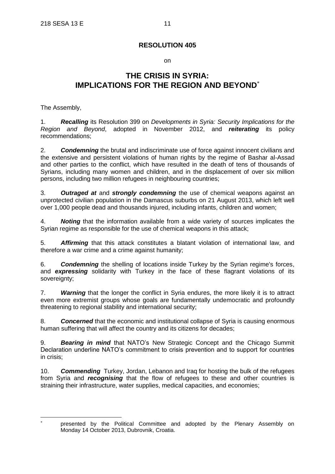#### on

## **THE CRISIS IN SYRIA: IMPLICATIONS FOR THE REGION AND BEYOND**

The Assembly,

1. *Recalling* its Resolution 399 on *Developments in Syria: Security Implications for the Region and Beyond*, adopted in November 2012, and *reiterating* its policy recommendations;

2. *Condemning* the brutal and indiscriminate use of force against innocent civilians and the extensive and persistent violations of human rights by the regime of Bashar al-Assad and other parties to the conflict, which have resulted in the death of tens of thousands of Syrians, including many women and children, and in the displacement of over six million persons, including two million refugees in neighbouring countries;

3. *Outraged at* and *strongly condemning* the use of chemical weapons against an unprotected civilian population in the Damascus suburbs on 21 August 2013, which left well over 1,000 people dead and thousands injured, including infants, children and women;

4. *Noting* that the information available from a wide variety of sources implicates the Syrian regime as responsible for the use of chemical weapons in this attack;

5. *Affirming* that this attack constitutes a blatant violation of international law, and therefore a war crime and a crime against humanity;

6. *Condemning* the shelling of locations inside Turkey by the Syrian regime's forces, and *expressing* solidarity with Turkey in the face of these flagrant violations of its sovereignty;

7. *Warning* that the longer the conflict in Syria endures, the more likely it is to attract even more extremist groups whose goals are fundamentally undemocratic and profoundly threatening to regional stability and international security;

8. *Concerned* that the economic and institutional collapse of Syria is causing enormous human suffering that will affect the country and its citizens for decades;

9. *Bearing in mind* that NATO's New Strategic Concept and the Chicago Summit Declaration underline NATO's commitment to crisis prevention and to support for countries in crisis;

10. *Commending* Turkey, Jordan, Lebanon and Iraq for hosting the bulk of the refugees from Syria and *recognising* that the flow of refugees to these and other countries is straining their infrastructure, water supplies, medical capacities, and economies;

 $\overline{a}$ \*

presented by the Political Committee and adopted by the Plenary Assembly on Monday 14 October 2013, Dubrovnik, Croatia.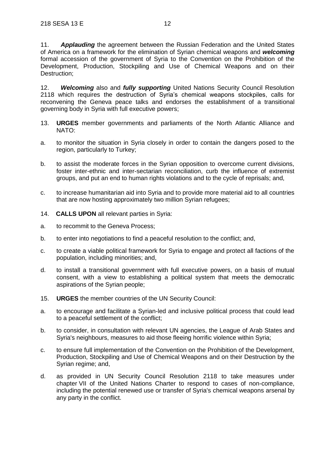11. *Applauding* the agreement between the Russian Federation and the United States of America on a framework for the elimination of Syrian chemical weapons and *welcoming*  formal accession of the government of Syria to the Convention on the Prohibition of the Development, Production, Stockpiling and Use of Chemical Weapons and on their Destruction;

12. *Welcoming* also and *fully supporting* United Nations Security Council Resolution 2118 which requires the destruction of Syria's chemical weapons stockpiles, calls for reconvening the Geneva peace talks and endorses the establishment of a transitional governing body in Syria with full executive powers;

- 13. **URGES** member governments and parliaments of the North Atlantic Alliance and NATO:
- a. to monitor the situation in Syria closely in order to contain the dangers posed to the region, particularly to Turkey;
- b. to assist the moderate forces in the Syrian opposition to overcome current divisions, foster inter-ethnic and inter-sectarian reconciliation, curb the influence of extremist groups, and put an end to human rights violations and to the cycle of reprisals; and,
- c. to increase humanitarian aid into Syria and to provide more material aid to all countries that are now hosting approximately two million Syrian refugees;
- 14. **CALLS UPON** all relevant parties in Syria:
- a. to recommit to the Geneva Process;
- b. to enter into negotiations to find a peaceful resolution to the conflict; and,
- c. to create a viable political framework for Syria to engage and protect all factions of the population, including minorities; and,
- d. to install a transitional government with full executive powers, on a basis of mutual consent, with a view to establishing a political system that meets the democratic aspirations of the Syrian people;
- 15. **URGES** the member countries of the UN Security Council:
- a. to encourage and facilitate a Syrian-led and inclusive political process that could lead to a peaceful settlement of the conflict;
- b. to consider, in consultation with relevant UN agencies, the League of Arab States and Syria's neighbours, measures to aid those fleeing horrific violence within Syria;
- c. to ensure full implementation of the Convention on the Prohibition of the Development, Production, Stockpiling and Use of Chemical Weapons and on their Destruction by the Syrian regime; and,
- d. as provided in UN Security Council Resolution 2118 to take measures under chapter VII of the United Nations Charter to respond to cases of non-compliance, including the potential renewed use or transfer of Syria's chemical weapons arsenal by any party in the conflict.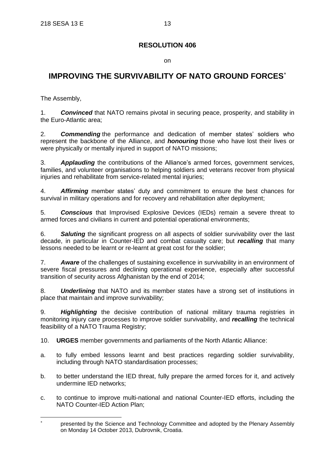on

## **IMPROVING THE SURVIVABILITY OF NATO GROUND FORCES**

The Assembly,

 $\overline{a}$ 

1. *Convinced* that NATO remains pivotal in securing peace, prosperity, and stability in the Euro-Atlantic area;

2. *Commending* the performance and dedication of member states' soldiers who represent the backbone of the Alliance, and *honouring* those who have lost their lives or were physically or mentally injured in support of NATO missions;

3. *Applauding* the contributions of the Alliance's armed forces, government services, families, and volunteer organisations to helping soldiers and veterans recover from physical injuries and rehabilitate from service-related mental injuries;

4. *Affirming* member states' duty and commitment to ensure the best chances for survival in military operations and for recovery and rehabilitation after deployment;

5. *Conscious* that Improvised Explosive Devices (IEDs) remain a severe threat to armed forces and civilians in current and potential operational environments;

6. *Saluting* the significant progress on all aspects of soldier survivability over the last decade, in particular in Counter-IED and combat casualty care; but *recalling* that many lessons needed to be learnt or re-learnt at great cost for the soldier;

7. *Aware* of the challenges of sustaining excellence in survivability in an environment of severe fiscal pressures and declining operational experience, especially after successful transition of security across Afghanistan by the end of 2014;

8. *Underlining* that NATO and its member states have a strong set of institutions in place that maintain and improve survivability;

9. *Highlighting* the decisive contribution of national military trauma registries in monitoring injury care processes to improve soldier survivability, and *recalling* the technical feasibility of a NATO Trauma Registry;

10. **URGES** member governments and parliaments of the North Atlantic Alliance:

- a. to fully embed lessons learnt and best practices regarding soldier survivability, including through NATO standardisation processes;
- b. to better understand the IED threat, fully prepare the armed forces for it, and actively undermine IED networks;
- c. to continue to improve multi-national and national Counter-IED efforts, including the NATO Counter-IED Action Plan;

<sup>\*</sup> presented by the Science and Technology Committee and adopted by the Plenary Assembly on Monday 14 October 2013, Dubrovnik, Croatia.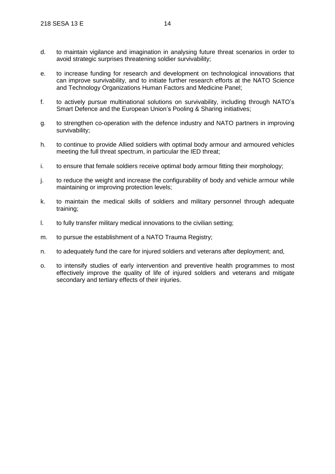- d. to maintain vigilance and imagination in analysing future threat scenarios in order to avoid strategic surprises threatening soldier survivability;
- e. to increase funding for research and development on technological innovations that can improve survivability, and to initiate further research efforts at the NATO Science and Technology Organizations Human Factors and Medicine Panel;
- f. to actively pursue multinational solutions on survivability, including through NATO's Smart Defence and the European Union's Pooling & Sharing initiatives:
- g. to strengthen co-operation with the defence industry and NATO partners in improving survivability;
- h. to continue to provide Allied soldiers with optimal body armour and armoured vehicles meeting the full threat spectrum, in particular the IED threat;
- i. to ensure that female soldiers receive optimal body armour fitting their morphology;
- j. to reduce the weight and increase the configurability of body and vehicle armour while maintaining or improving protection levels;
- k. to maintain the medical skills of soldiers and military personnel through adequate training;
- l. to fully transfer military medical innovations to the civilian setting;
- m. to pursue the establishment of a NATO Trauma Registry;
- n. to adequately fund the care for injured soldiers and veterans after deployment; and,
- o. to intensify studies of early intervention and preventive health programmes to most effectively improve the quality of life of injured soldiers and veterans and mitigate secondary and tertiary effects of their injuries.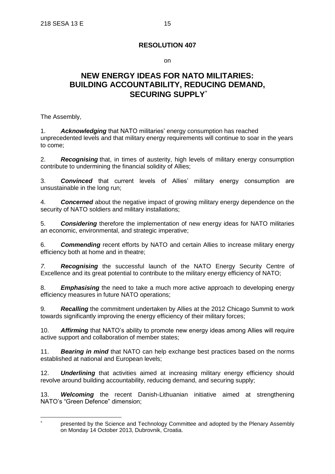on

## **NEW ENERGY IDEAS FOR NATO MILITARIES: BUILDING ACCOUNTABILITY, REDUCING DEMAND, SECURING SUPPLY**

The Assembly,

 $\overline{a}$ 

1. *Acknowledging* that NATO militaries' energy consumption has reached unprecedented levels and that military energy requirements will continue to soar in the years to come;

2. *Recognising* that, in times of austerity, high levels of military energy consumption contribute to undermining the financial solidity of Allies;

3. *Convinced* that current levels of Allies' military energy consumption are unsustainable in the long run;

4. *Concerned* about the negative impact of growing military energy dependence on the security of NATO soldiers and military installations;

5. *Considering* therefore the implementation of new energy ideas for NATO militaries an economic, environmental, and strategic imperative;

6. *Commending* recent efforts by NATO and certain Allies to increase military energy efficiency both at home and in theatre;

*7. Recognising* the successful launch of the NATO Energy Security Centre of Excellence and its great potential to contribute to the military energy efficiency of NATO;

8. *Emphasising* the need to take a much more active approach to developing energy efficiency measures in future NATO operations;

9. *Recalling* the commitment undertaken by Allies at the 2012 Chicago Summit to work towards significantly improving the energy efficiency of their military forces;

10. *Affirming* that NATO's ability to promote new energy ideas among Allies will require active support and collaboration of member states;

11. *Bearing in mind* that NATO can help exchange best practices based on the norms established at national and European levels;

12. *Underlining* that activities aimed at increasing military energy efficiency should revolve around building accountability, reducing demand, and securing supply;

13. *Welcoming* the recent Danish-Lithuanian initiative aimed at strengthening NATO's "Green Defence" dimension;

<sup>\*</sup> presented by the Science and Technology Committee and adopted by the Plenary Assembly on Monday 14 October 2013, Dubrovnik, Croatia.